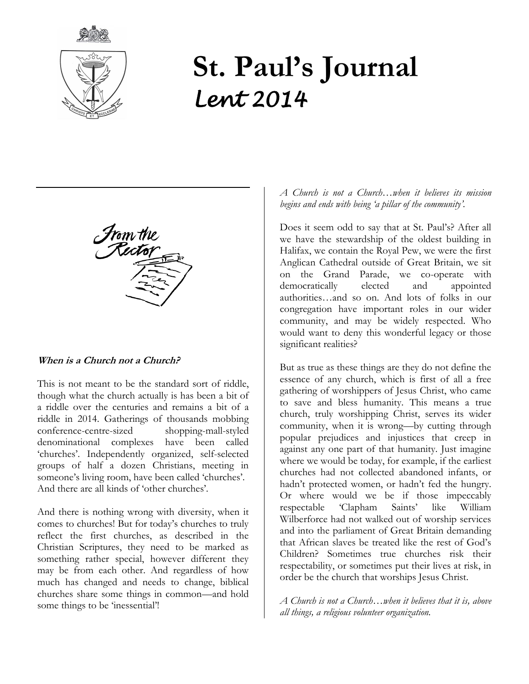



# **St. Paul's Journal** *Lent 2014*

#### **When is a Church not a Church?**

This is not meant to be the standard sort of riddle, though what the church actually is has been a bit of a riddle over the centuries and remains a bit of a riddle in 2014. Gatherings of thousands mobbing conference-centre-sized shopping-mall-styled denominational complexes have been called 'churches'. Independently organized, self-selected groups of half a dozen Christians, meeting in someone's living room, have been called 'churches'. And there are all kinds of 'other churches'.

And there is nothing wrong with diversity, when it comes to churches! But for today's churches to truly reflect the first churches, as described in the Christian Scriptures, they need to be marked as something rather special, however different they may be from each other. And regardless of how much has changed and needs to change, biblical churches share some things in common—and hold some things to be 'inessential'!

*A Church is not a Church…when it believes its mission begins and ends with being 'a pillar of the community'.* 

Does it seem odd to say that at St. Paul's? After all we have the stewardship of the oldest building in Halifax, we contain the Royal Pew, we were the first Anglican Cathedral outside of Great Britain, we sit on the Grand Parade, we co-operate with democratically elected and appointed authorities…and so on. And lots of folks in our congregation have important roles in our wider community, and may be widely respected. Who would want to deny this wonderful legacy or those significant realities?

But as true as these things are they do not define the essence of any church, which is first of all a free gathering of worshippers of Jesus Christ, who came to save and bless humanity. This means a true church, truly worshipping Christ, serves its wider community, when it is wrong—by cutting through popular prejudices and injustices that creep in against any one part of that humanity. Just imagine where we would be today, for example, if the earliest churches had not collected abandoned infants, or hadn't protected women, or hadn't fed the hungry. Or where would we be if those impeccably respectable 'Clapham Saints' like William Wilberforce had not walked out of worship services and into the parliament of Great Britain demanding that African slaves be treated like the rest of God's Children? Sometimes true churches risk their respectability, or sometimes put their lives at risk, in order be the church that worships Jesus Christ.

*A Church is not a Church…when it believes that it is, above all things, a religious volunteer organization.*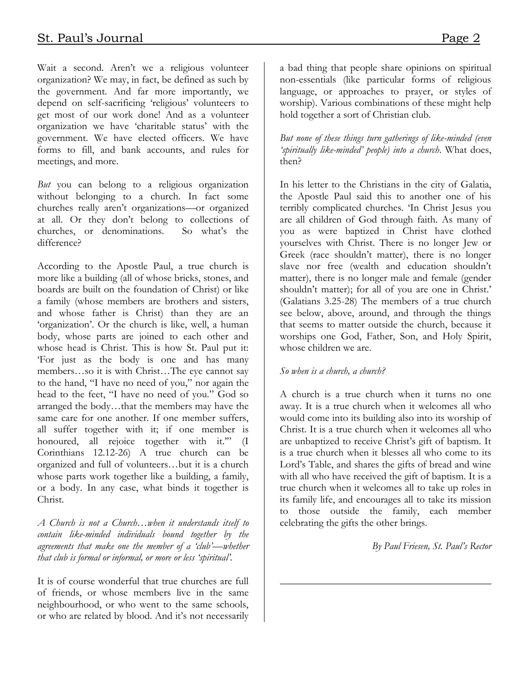Wait a second. Aren't we a religious volunteer organization? We may, in fact, be defined as such by the government. And far more importantly, we depend on self-sacrificing 'religious' volunteers to get most of our work done! And as a volunteer organization we have 'charitable status' with the government. We have elected officers. We have forms to fill, and bank accounts, and rules for meetings, and more.

*But* you can belong to a religious organization without belonging to a church. In fact some churches really aren't organizations—or organized at all. Or they don't belong to collections of churches, or denominations. So what's the difference?

According to the Apostle Paul, a true church is more like a building (all of whose bricks, stones, and boards are built on the foundation of Christ) or like a family (whose members are brothers and sisters, and whose father is Christ) than they are an 'organization'. Or the church is like, well, a human body, whose parts are joined to each other and whose head is Christ. This is how St. Paul put it: 'For just as the body is one and has many members…so it is with Christ…The eye cannot say to the hand, "I have no need of you," nor again the head to the feet, "I have no need of you." God so arranged the body…that the members may have the same care for one another. If one member suffers, all suffer together with it; if one member is honoured, all rejoice together with it.'" (I Corinthians 12.12-26) A true church can be organized and full of volunteers…but it is a church whose parts work together like a building, a family, or a body. In any case, what binds it together is Christ.

*A Church is not a Church…when it understands itself to contain like-minded individuals bound together by the agreements that make one the member of a 'club'—whether that club is formal or informal, or more or less 'spiritual'.*

It is of course wonderful that true churches are full of friends, or whose members live in the same neighbourhood, or who went to the same schools, or who are related by blood. And it's not necessarily a bad thing that people share opinions on spiritual non-essentials (like particular forms of religious language, or approaches to prayer, or styles of worship). Various combinations of these might help hold together a sort of Christian club.

*But none of these things turn gatherings of like-minded (even 'spiritually like-minded' people) into a church*. What does, then?

In his letter to the Christians in the city of Galatia, the Apostle Paul said this to another one of his terribly complicated churches. 'In Christ Jesus you are all children of God through faith. As many of you as were baptized in Christ have clothed yourselves with Christ. There is no longer Jew or Greek (race shouldn't matter), there is no longer slave nor free (wealth and education shouldn't matter), there is no longer male and female (gender shouldn't matter); for all of you are one in Christ.' (Galatians 3.25-28) The members of a true church see below, above, around, and through the things that seems to matter outside the church, because it worships one God, Father, Son, and Holy Spirit, whose children we are.

#### *So when is a church, a church?*

A church is a true church when it turns no one away. It is a true church when it welcomes all who would come into its building also into its worship of Christ. It is a true church when it welcomes all who are unbaptized to receive Christ's gift of baptism. It is a true church when it blesses all who come to its Lord's Table, and shares the gifts of bread and wine with all who have received the gift of baptism. It is a true church when it welcomes all to take up roles in its family life, and encourages all to take its mission to those outside the family, each member celebrating the gifts the other brings.

*By Paul Friesen, St. Paul's Rector*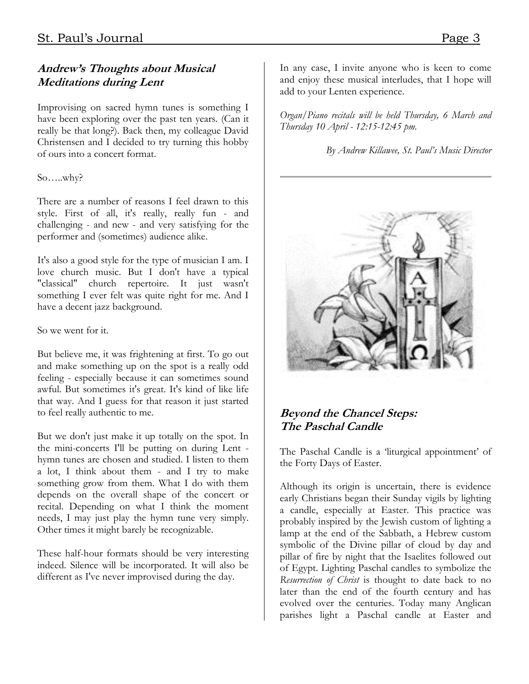# **Andrew's Thoughts about Musical Meditations during Lent**

Improvising on sacred hymn tunes is something I have been exploring over the past ten years. (Can it really be that long?). Back then, my colleague David Christensen and I decided to try turning this hobby of ours into a concert format.

#### So…..why?

There are a number of reasons I feel drawn to this style. First of all, it's really, really fun - and challenging - and new - and very satisfying for the performer and (sometimes) audience alike.

It's also a good style for the type of musician I am. I love church music. But I don't have a typical "classical" church repertoire. It just wasn't something I ever felt was quite right for me. And I have a decent jazz background.

#### So we went for it.

But believe me, it was frightening at first. To go out and make something up on the spot is a really odd feeling - especially because it can sometimes sound awful. But sometimes it's great. It's kind of like life that way. And I guess for that reason it just started to feel really authentic to me.

But we don't just make it up totally on the spot. In the mini-concerts I'll be putting on during Lent hymn tunes are chosen and studied. I listen to them a lot, I think about them - and I try to make something grow from them. What I do with them depends on the overall shape of the concert or recital. Depending on what I think the moment needs, I may just play the hymn tune very simply. Other times it might barely be recognizable.

These half-hour formats should be very interesting indeed. Silence will be incorporated. It will also be different as I've never improvised during the day.

In any case, I invite anyone who is keen to come and enjoy these musical interludes, that I hope will add to your Lenten experience.

*Organ/Piano recitals will be held Thursday, 6 March and Thursday 10 April - 12:15-12:45 pm.*

*By Andrew Killawee, St. Paul's Music Director*



# **Beyond the Chancel Steps: The Paschal Candle**

The Paschal Candle is a 'liturgical appointment' of the Forty Days of Easter.

Although its origin is uncertain, there is evidence early Christians began their Sunday vigils by lighting a candle, especially at Easter. This practice was probably inspired by the Jewish custom of lighting a lamp at the end of the Sabbath, a Hebrew custom symbolic of the Divine pillar of cloud by day and pillar of fire by night that the Isaelites followed out of Egypt. Lighting Paschal candles to symbolize the *Resurrection of Christ* is thought to date back to no later than the end of the fourth century and has evolved over the centuries. Today many Anglican parishes light a Paschal candle at Easter and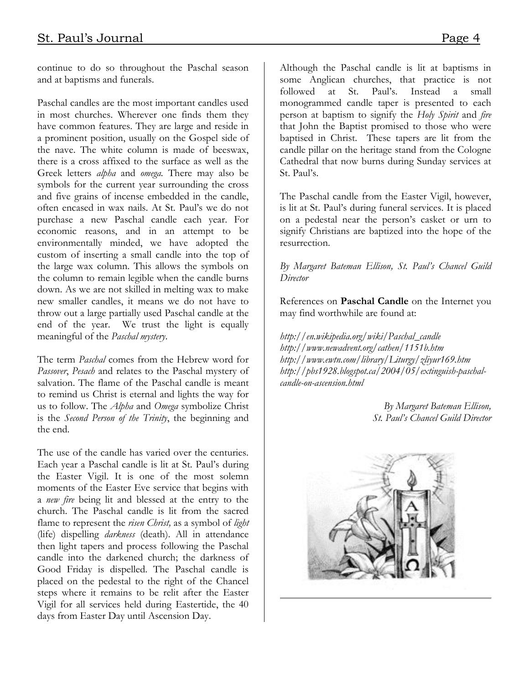continue to do so throughout the Paschal season and at baptisms and funerals.

Paschal candles are the most important candles used in most churches. Wherever one finds them they have common features. They are large and reside in a prominent position, usually on the Gospel side of the nave. The white column is made of beeswax, there is a cross affixed to the surface as well as the Greek letters *alpha* and *omega.* There may also be symbols for the current year surrounding the cross and five grains of incense embedded in the candle, often encased in wax nails. At St. Paul's we do not purchase a new Paschal candle each year. For economic reasons, and in an attempt to be environmentally minded, we have adopted the custom of inserting a small candle into the top of the large wax column. This allows the symbols on the column to remain legible when the candle burns down. As we are not skilled in melting wax to make new smaller candles, it means we do not have to throw out a large partially used Paschal candle at the end of the year. We trust the light is equally meaningful of the *Paschal mystery*.

The term *Paschal* comes from the Hebrew word for *Passover*, *Pesach* and relates to the Paschal mystery of salvation. The flame of the Paschal candle is meant to remind us Christ is eternal and lights the way for us to follow. The *Alpha* and *Omega* symbolize Christ is the *Second Person of the Trinity*, the beginning and the end.

The use of the candle has varied over the centuries. Each year a Paschal candle is lit at St. Paul's during the Easter Vigil. It is one of the most solemn moments of the Easter Eve service that begins with a *new fire* being lit and blessed at the entry to the church. The Paschal candle is lit from the sacred flame to represent the *risen Christ,* as a symbol of *light* (life) dispelling *darkness* (death). All in attendance then light tapers and process following the Paschal candle into the darkened church; the darkness of Good Friday is dispelled. The Paschal candle is placed on the pedestal to the right of the Chancel steps where it remains to be relit after the Easter Vigil for all services held during Eastertide, the 40 days from Easter Day until Ascension Day.

Although the Paschal candle is lit at baptisms in some Anglican churches, that practice is not followed at St. Paul's. Instead a small monogrammed candle taper is presented to each person at baptism to signify the *Holy Spirit* and *fire* that John the Baptist promised to those who were baptised in Christ. These tapers are lit from the candle pillar on the heritage stand from the Cologne Cathedral that now burns during Sunday services at St. Paul's.

The Paschal candle from the Easter Vigil, however, is lit at St. Paul's during funeral services. It is placed on a pedestal near the person's casket or urn to signify Christians are baptized into the hope of the resurrection.

#### *By Margaret Bateman Ellison, St. Paul's Chancel Guild Director*

References on **Paschal Candle** on the Internet you may find worthwhile are found at:

*[http://en.wikipedia.org/wiki/Paschal\\_candle](http://en.wikipedia.org/wiki/Paschal_candle) <http://www.newadvent.org/cathen/1151b.htm> <http://www.ewtn.com/library/Liturgy/zliyur169.htm> [http://pbs1928.blogspot.ca/2004/05/extinguish-paschal](http://pbs1928.blogspot.ca/2004/05/extinguish-paschal-candle-on-ascension.html)[candle-on-ascension.html](http://pbs1928.blogspot.ca/2004/05/extinguish-paschal-candle-on-ascension.html)*

> *By Margaret Bateman Ellison, St. Paul's Chancel Guild Director*

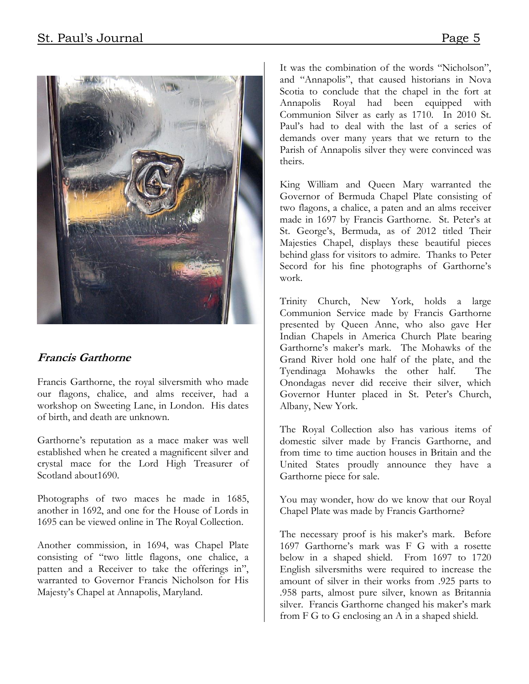

# **Francis Garthorne**

Francis Garthorne, the royal silversmith who made our flagons, chalice, and alms receiver, had a workshop on Sweeting Lane, in London. His dates of birth, and death are unknown.

Garthorne's reputation as a mace maker was well established when he created a magnificent silver and crystal mace for the Lord High Treasurer of Scotland about1690.

Photographs of two maces he made in 1685, another in 1692, and one for the House of Lords in 1695 can be viewed online in The Royal Collection.

Another commission, in 1694, was Chapel Plate consisting of "two little flagons, one chalice, a patten and a Receiver to take the offerings in", warranted to Governor Francis Nicholson for His Majesty's Chapel at Annapolis, Maryland.

It was the combination of the words "Nicholson", and "Annapolis", that caused historians in Nova Scotia to conclude that the chapel in the fort at Annapolis Royal had been equipped with Communion Silver as early as 1710. In 2010 St. Paul's had to deal with the last of a series of demands over many years that we return to the Parish of Annapolis silver they were convinced was theirs.

King William and Queen Mary warranted the Governor of Bermuda Chapel Plate consisting of two flagons, a chalice, a paten and an alms receiver made in 1697 by Francis Garthorne. St. Peter's at St. George's, Bermuda, as of 2012 titled Their Majesties Chapel, displays these beautiful pieces behind glass for visitors to admire. Thanks to Peter Secord for his fine photographs of Garthorne's work.

Trinity Church, New York, holds a large Communion Service made by Francis Garthorne presented by Queen Anne, who also gave Her Indian Chapels in America Church Plate bearing Garthorne's maker's mark. The Mohawks of the Grand River hold one half of the plate, and the Tyendinaga Mohawks the other half. The Onondagas never did receive their silver, which Governor Hunter placed in St. Peter's Church, Albany, New York.

The Royal Collection also has various items of domestic silver made by Francis Garthorne, and from time to time auction houses in Britain and the United States proudly announce they have a Garthorne piece for sale.

You may wonder, how do we know that our Royal Chapel Plate was made by Francis Garthorne?

The necessary proof is his maker's mark. Before 1697 Garthorne's mark was F G with a rosette below in a shaped shield. From 1697 to 1720 English silversmiths were required to increase the amount of silver in their works from .925 parts to .958 parts, almost pure silver, known as Britannia silver. Francis Garthorne changed his maker's mark from F G to G enclosing an A in a shaped shield.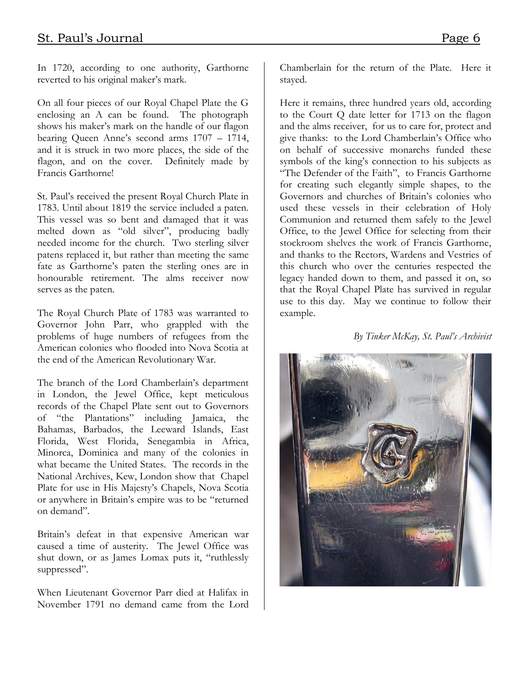In 1720, according to one authority, Garthorne reverted to his original maker's mark.

On all four pieces of our Royal Chapel Plate the G enclosing an A can be found. The photograph shows his maker's mark on the handle of our flagon bearing Queen Anne's second arms 1707 – 1714, and it is struck in two more places, the side of the flagon, and on the cover. Definitely made by Francis Garthorne!

St. Paul's received the present Royal Church Plate in 1783. Until about 1819 the service included a paten. This vessel was so bent and damaged that it was melted down as "old silver", producing badly needed income for the church. Two sterling silver patens replaced it, but rather than meeting the same fate as Garthorne's paten the sterling ones are in honourable retirement. The alms receiver now serves as the paten.

The Royal Church Plate of 1783 was warranted to Governor John Parr, who grappled with the problems of huge numbers of refugees from the American colonies who flooded into Nova Scotia at the end of the American Revolutionary War.

The branch of the Lord Chamberlain's department in London, the Jewel Office, kept meticulous records of the Chapel Plate sent out to Governors of "the Plantations" including Jamaica, the Bahamas, Barbados, the Leeward Islands, East Florida, West Florida, Senegambia in Africa, Minorca, Dominica and many of the colonies in what became the United States. The records in the National Archives, Kew, London show that Chapel Plate for use in His Majesty's Chapels, Nova Scotia or anywhere in Britain's empire was to be "returned on demand".

Britain's defeat in that expensive American war caused a time of austerity. The Jewel Office was shut down, or as James Lomax puts it, "ruthlessly suppressed".

When Lieutenant Governor Parr died at Halifax in November 1791 no demand came from the Lord Chamberlain for the return of the Plate. Here it stayed.

Here it remains, three hundred years old, according to the Court Q date letter for 1713 on the flagon and the alms receiver, for us to care for, protect and give thanks: to the Lord Chamberlain's Office who on behalf of successive monarchs funded these symbols of the king's connection to his subjects as "The Defender of the Faith", to Francis Garthorne for creating such elegantly simple shapes, to the Governors and churches of Britain's colonies who used these vessels in their celebration of Holy Communion and returned them safely to the Jewel Office, to the Jewel Office for selecting from their stockroom shelves the work of Francis Garthorne, and thanks to the Rectors, Wardens and Vestries of this church who over the centuries respected the legacy handed down to them, and passed it on, so that the Royal Chapel Plate has survived in regular use to this day. May we continue to follow their example.

#### *By Tinker McKay, St. Paul's Archivist*

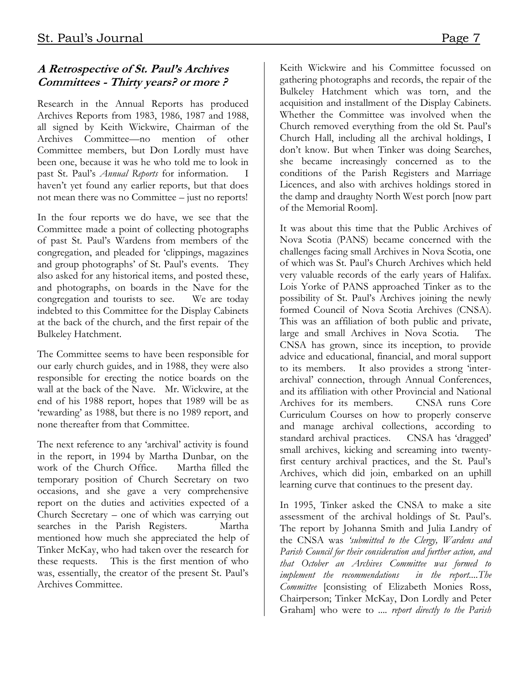# **A Retrospective of St. Paul's Archives Committees - Thirty years? or more ?**

Research in the Annual Reports has produced Archives Reports from 1983, 1986, 1987 and 1988, all signed by Keith Wickwire, Chairman of the Archives Committee—no mention of other Committee members, but Don Lordly must have been one, because it was he who told me to look in past St. Paul's *Annual Reports* for information. haven't yet found any earlier reports, but that does not mean there was no Committee – just no reports!

In the four reports we do have, we see that the Committee made a point of collecting photographs of past St. Paul's Wardens from members of the congregation, and pleaded for 'clippings, magazines and group photographs' of St. Paul's events. They also asked for any historical items, and posted these, and photographs, on boards in the Nave for the congregation and tourists to see. We are today indebted to this Committee for the Display Cabinets at the back of the church, and the first repair of the Bulkeley Hatchment.

The Committee seems to have been responsible for our early church guides, and in 1988, they were also responsible for erecting the notice boards on the wall at the back of the Nave. Mr. Wickwire, at the end of his 1988 report, hopes that 1989 will be as 'rewarding' as 1988, but there is no 1989 report, and none thereafter from that Committee.

The next reference to any 'archival' activity is found in the report, in 1994 by Martha Dunbar, on the work of the Church Office. Martha filled the temporary position of Church Secretary on two occasions, and she gave a very comprehensive report on the duties and activities expected of a Church Secretary – one of which was carrying out searches in the Parish Registers. Martha mentioned how much she appreciated the help of Tinker McKay, who had taken over the research for these requests. This is the first mention of who was, essentially, the creator of the present St. Paul's Archives Committee.

Keith Wickwire and his Committee focussed on gathering photographs and records, the repair of the Bulkeley Hatchment which was torn, and the acquisition and installment of the Display Cabinets. Whether the Committee was involved when the Church removed everything from the old St. Paul's Church Hall, including all the archival holdings, I don't know. But when Tinker was doing Searches, she became increasingly concerned as to the conditions of the Parish Registers and Marriage Licences, and also with archives holdings stored in the damp and draughty North West porch [now part of the Memorial Room].

It was about this time that the Public Archives of Nova Scotia (PANS) became concerned with the challenges facing small Archives in Nova Scotia, one of which was St. Paul's Church Archives which held very valuable records of the early years of Halifax. Lois Yorke of PANS approached Tinker as to the possibility of St. Paul's Archives joining the newly formed Council of Nova Scotia Archives (CNSA). This was an affiliation of both public and private, large and small Archives in Nova Scotia. The CNSA has grown, since its inception, to provide advice and educational, financial, and moral support to its members. It also provides a strong 'interarchival' connection, through Annual Conferences, and its affiliation with other Provincial and National Archives for its members. CNSA runs Core Curriculum Courses on how to properly conserve and manage archival collections, according to standard archival practices. CNSA has 'dragged' small archives, kicking and screaming into twentyfirst century archival practices, and the St. Paul's Archives, which did join, embarked on an uphill learning curve that continues to the present day.

In 1995, Tinker asked the CNSA to make a site assessment of the archival holdings of St. Paul's. The report by Johanna Smith and Julia Landry of the CNSA was *'submitted to the Clergy, Wardens and Parish Council for their consideration and further action, and that October an Archives Committee was formed to implement the recommendations in the report....The Committee* [consisting of Elizabeth Monies Ross, Chairperson; Tinker McKay, Don Lordly and Peter Graham] who were to .... *report directly to the Parish*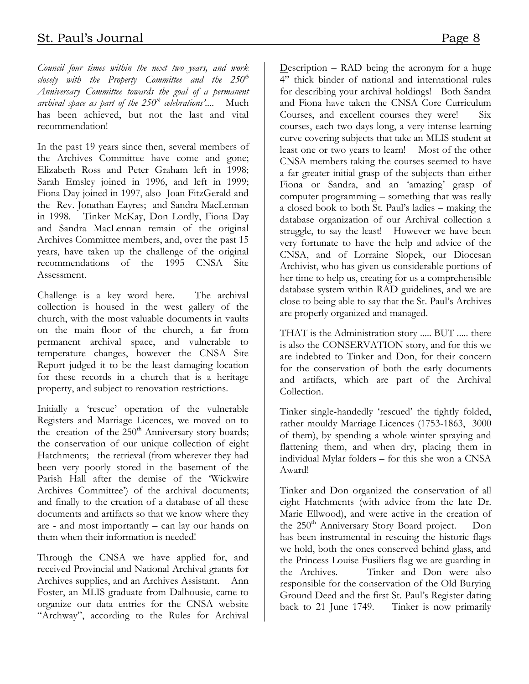*Council four times within the next two years, and work closely with the Property Committee and the 250th Anniversary Committee towards the goal of a permanent archival space as part of the 250th celebrations'....* Much has been achieved, but not the last and vital recommendation!

In the past 19 years since then, several members of the Archives Committee have come and gone; Elizabeth Ross and Peter Graham left in 1998; Sarah Emsley joined in 1996, and left in 1999; Fiona Day joined in 1997, also Joan FitzGerald and the Rev. Jonathan Eayres; and Sandra MacLennan in 1998. Tinker McKay, Don Lordly, Fiona Day and Sandra MacLennan remain of the original Archives Committee members, and, over the past 15 years, have taken up the challenge of the original recommendations of the 1995 CNSA Site Assessment.

Challenge is a key word here. The archival collection is housed in the west gallery of the church, with the most valuable documents in vaults on the main floor of the church, a far from permanent archival space, and vulnerable to temperature changes, however the CNSA Site Report judged it to be the least damaging location for these records in a church that is a heritage property, and subject to renovation restrictions.

Initially a 'rescue' operation of the vulnerable Registers and Marriage Licences, we moved on to the creation of the  $250<sup>th</sup>$  Anniversary story boards; the conservation of our unique collection of eight Hatchments; the retrieval (from wherever they had been very poorly stored in the basement of the Parish Hall after the demise of the 'Wickwire Archives Committee') of the archival documents; and finally to the creation of a database of all these documents and artifacts so that we know where they are - and most importantly – can lay our hands on them when their information is needed!

Through the CNSA we have applied for, and received Provincial and National Archival grants for Archives supplies, and an Archives Assistant. Ann Foster, an MLIS graduate from Dalhousie, came to organize our data entries for the CNSA website "Archway", according to the Rules for Archival

Description – RAD being the acronym for a huge 4" thick binder of national and international rules for describing your archival holdings! Both Sandra and Fiona have taken the CNSA Core Curriculum Courses, and excellent courses they were! Six courses, each two days long, a very intense learning curve covering subjects that take an MLIS student at least one or two years to learn! Most of the other CNSA members taking the courses seemed to have a far greater initial grasp of the subjects than either Fiona or Sandra, and an 'amazing' grasp of computer programming – something that was really a closed book to both St. Paul's ladies – making the database organization of our Archival collection a struggle, to say the least! However we have been very fortunate to have the help and advice of the CNSA, and of Lorraine Slopek, our Diocesan Archivist, who has given us considerable portions of her time to help us, creating for us a comprehensible database system within RAD guidelines, and we are close to being able to say that the St. Paul's Archives are properly organized and managed.

THAT is the Administration story ..... BUT ..... there is also the CONSERVATION story, and for this we are indebted to Tinker and Don, for their concern for the conservation of both the early documents and artifacts, which are part of the Archival Collection.

Tinker single-handedly 'rescued' the tightly folded, rather mouldy Marriage Licences (1753-1863, 3000 of them), by spending a whole winter spraying and flattening them, and when dry, placing them in individual Mylar folders – for this she won a CNSA Award!

Tinker and Don organized the conservation of all eight Hatchments (with advice from the late Dr. Marie Ellwood), and were active in the creation of the 250<sup>th</sup> Anniversary Story Board project. Don has been instrumental in rescuing the historic flags we hold, both the ones conserved behind glass, and the Princess Louise Fusiliers flag we are guarding in the Archives. Tinker and Don were also responsible for the conservation of the Old Burying Ground Deed and the first St. Paul's Register dating back to 21 June 1749. Tinker is now primarily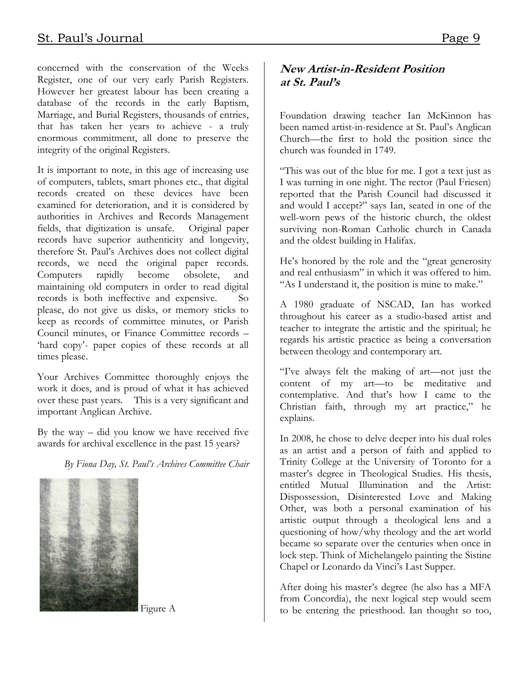concerned with the conservation of the Weeks Register, one of our very early Parish Registers. However her greatest labour has been creating a database of the records in the early Baptism, Marriage, and Burial Registers, thousands of entries, that has taken her years to achieve - a truly enormous commitment, all done to preserve the integrity of the original Registers.

It is important to note, in this age of increasing use of computers, tablets, smart phones etc., that digital records created on these devices have been examined for deterioration, and it is considered by authorities in Archives and Records Management fields, that digitization is unsafe. Original paper records have superior authenticity and longevity, therefore St. Paul's Archives does not collect digital records, we need the original paper records. Computers rapidly become obsolete, and maintaining old computers in order to read digital records is both ineffective and expensive. So please, do not give us disks, or memory sticks to keep as records of committee minutes, or Parish Council minutes, or Finance Committee records – 'hard copy'- paper copies of these records at all times please.

Your Archives Committee thoroughly enjoys the work it does, and is proud of what it has achieved over these past years. This is a very significant and important Anglican Archive.

By the way  $-$  did you know we have received five awards for archival excellence in the past 15 years?

*By Fiona Day, St. Paul's Archives Committee Chair*



Figure A

# **New Artist-in-Resident Position at St. Paul's**

Foundation drawing teacher Ian McKinnon has been named artist-in-residence at St. Paul's Anglican Church—the first to hold the position since the church was founded in 1749.

"This was out of the blue for me. I got a text just as I was turning in one night. The rector (Paul Friesen) reported that the Parish Council had discussed it and would I accept?" says Ian, seated in one of the well-worn pews of the historic church, the oldest surviving non-Roman Catholic church in Canada and the oldest building in Halifax.

He's honored by the role and the "great generosity and real enthusiasm" in which it was offered to him. "As I understand it, the position is mine to make."

A 1980 graduate of NSCAD, Ian has worked throughout his career as a studio-based artist and teacher to integrate the artistic and the spiritual; he regards his artistic practice as being a conversation between theology and contemporary art.

"I've always felt the making of art—not just the content of my art—to be meditative and contemplative. And that's how I came to the Christian faith, through my art practice," he explains.

In 2008, he chose to delve deeper into his dual roles as an artist and a person of faith and applied to Trinity College at the University of Toronto for a master's degree in Theological Studies. His thesis, entitled Mutual Illumination and the Artist: Dispossession, Disinterested Love and Making Other, was both a personal examination of his artistic output through a theological lens and a questioning of how/why theology and the art world became so separate over the centuries when once in lock step. Think of Michelangelo painting the Sistine Chapel or Leonardo da Vinci's Last Supper.

After doing his master's degree (he also has a MFA from Concordia), the next logical step would seem to be entering the priesthood. Ian thought so too,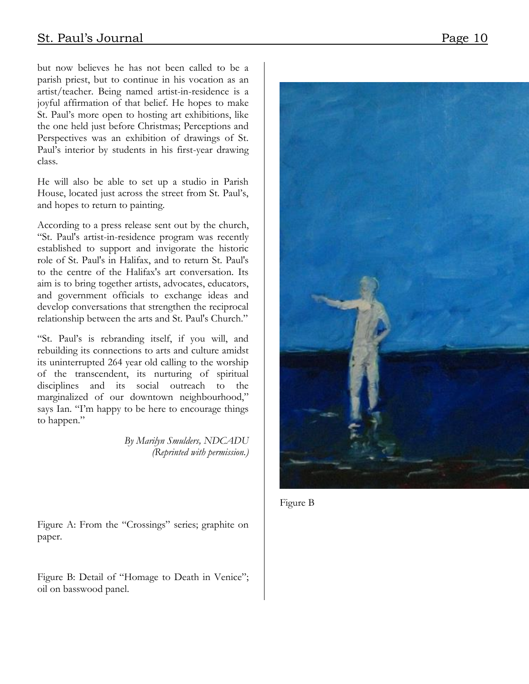but now believes he has not been called to be a parish priest, but to continue in his vocation as an artist/teacher. Being named artist-in-residence is a joyful affirmation of that belief. He hopes to make St. Paul's more open to hosting art exhibitions, like the one held just before Christmas; Perceptions and Perspectives was an exhibition of drawings of St. Paul's interior by students in his first-year drawing class.

He will also be able to set up a studio in Parish House, located just across the street from St. Paul's, and hopes to return to painting.

According to a press release sent out by the church, "St. Paul's artist-in-residence program was recently established to support and invigorate the historic role of St. Paul's in Halifax, and to return St. Paul's to the centre of the Halifax's art conversation. Its aim is to bring together artists, advocates, educators, and government officials to exchange ideas and develop conversations that strengthen the reciprocal relationship between the arts and St. Paul's Church."

"St. Paul's is rebranding itself, if you will, and rebuilding its connections to arts and culture amidst its uninterrupted 264 year old calling to the worship of the transcendent, its nurturing of spiritual disciplines and its social outreach to the marginalized of our downtown neighbourhood," says Ian. "I'm happy to be here to encourage things to happen."

> *By Marilyn Smulders, NDCADU (Reprinted with permission.)*

Figure A: From the "Crossings" series; graphite on paper.

Figure B: Detail of "Homage to Death in Venice"; oil on basswood panel.



Figure B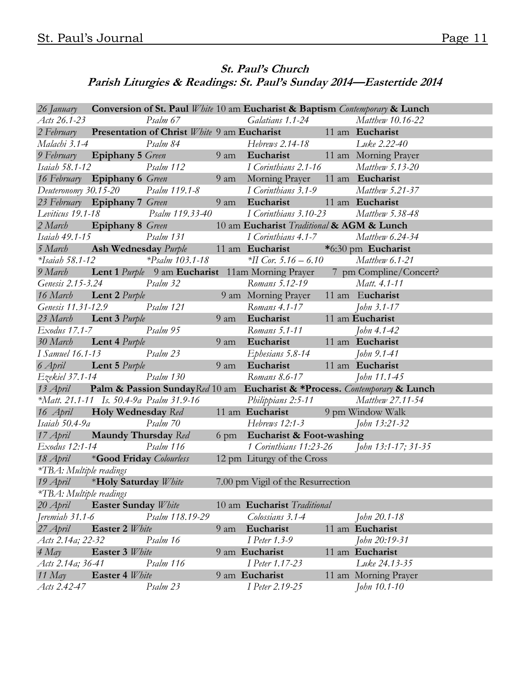# **St. Paul's Church Parish Liturgies & Readings: St. Paul's Sunday 2014—Eastertide 2014**

| 26 January Conversion of St. Paul White 10 am Eucharist & Baptism Contemporary & Lunch |                                  |                              |  |                                                                                                                                                            |  |                                                                                  |
|----------------------------------------------------------------------------------------|----------------------------------|------------------------------|--|------------------------------------------------------------------------------------------------------------------------------------------------------------|--|----------------------------------------------------------------------------------|
| Acts 26.1-23                                                                           |                                  |                              |  | Psalm 67 Galatians 1.1-24 Matthew 10.16-22                                                                                                                 |  |                                                                                  |
|                                                                                        |                                  |                              |  | 2 February Presentation of Christ White 9 am Eucharist 11 am Eucharist                                                                                     |  |                                                                                  |
|                                                                                        |                                  |                              |  |                                                                                                                                                            |  |                                                                                  |
|                                                                                        |                                  |                              |  | Malachi 3.1-4<br>9 February <b>Epiphany 5</b> Green<br>11 am Morning Prayer                                                                                |  |                                                                                  |
|                                                                                        |                                  |                              |  | Isaiah 58.1-12 Psalm 112 I Corinthians 2.1-16 Matthew 5.13-20                                                                                              |  |                                                                                  |
|                                                                                        |                                  |                              |  | 16 February Epiphany 6 Green 9 am Morning Prayer 11 am Eucharist                                                                                           |  |                                                                                  |
|                                                                                        |                                  |                              |  | Deuteronomy 30.15-20 Psalm 119.1-8 I Corinthians 3.1-9 Matthew 5.21-37<br>23 February <b>Epiphany 7</b> Green 9 am <b>Eucharist</b> 11 am <b>Eucharist</b> |  |                                                                                  |
|                                                                                        |                                  |                              |  |                                                                                                                                                            |  |                                                                                  |
|                                                                                        |                                  |                              |  | Leviticus 19.1-18 		 Psalm 119.33-40 		 I Corinthians 3.10-23 		 Matthew 5.38-48                                                                           |  |                                                                                  |
|                                                                                        |                                  |                              |  | 2 March Epiphany 8 Green 10 am Eucharist Traditional & AGM & Lunch                                                                                         |  |                                                                                  |
|                                                                                        | <i>Isaiah 49.1-15</i>            |                              |  |                                                                                                                                                            |  |                                                                                  |
|                                                                                        |                                  |                              |  | 5 March <b>Ash Wednesday</b> Purple 11 am Eucharist *6:30 pm Eucharist                                                                                     |  |                                                                                  |
|                                                                                        |                                  |                              |  | *Isaiah 58.1-12 *Psalm 103.1-18 *II Cor. 5.16 - 6.10 Matthew 6.1-21                                                                                        |  |                                                                                  |
|                                                                                        |                                  |                              |  |                                                                                                                                                            |  | 9 March Lent 1 Purple 9 am Eucharist 11 am Morning Prayer 7 pm Compline/Concert? |
|                                                                                        |                                  |                              |  | Romans 5.12-19 Matt. 4.1-11<br>Genesis 2.15-3.24 Psalm 32<br>16 March <b>Lent 2</b> Purple 9 am Morning Prayer 11 am Eucharist                             |  |                                                                                  |
|                                                                                        |                                  |                              |  |                                                                                                                                                            |  |                                                                                  |
|                                                                                        |                                  | Genesis 11.31-12.9 Psalm 121 |  | Romans 4.1-17 John 3.1-17<br>9 am <b>Eucharist</b> 11 am <b>Eucharist</b>                                                                                  |  |                                                                                  |
|                                                                                        |                                  | 23 March Lent 3 Purple       |  |                                                                                                                                                            |  |                                                                                  |
|                                                                                        | Exodus 17.1-7 Psalm 95           |                              |  |                                                                                                                                                            |  |                                                                                  |
|                                                                                        | 30 March <b>Lent 4</b> Purple    |                              |  | Romans 5.1-11 John 4.1-42<br>9 am <b>Eucharist</b> 11 am <b>Eucharist</b>                                                                                  |  |                                                                                  |
|                                                                                        | <i>I</i> Samuel 16.1-13 Psalm 23 |                              |  |                                                                                                                                                            |  |                                                                                  |
|                                                                                        |                                  | 6 April <b>Lent 5</b> Purple |  | 9 am Eucharist 11 am Eucharist                                                                                                                             |  |                                                                                  |
|                                                                                        | Ezekiel 37.1-14 Psalm 130        |                              |  | Romans 8.6-17 [ohn 11.1-45]                                                                                                                                |  |                                                                                  |
| 13 April Palm & Passion Sunday Red 10 am Eucharist & *Process. Contemporary & Lunch    |                                  |                              |  |                                                                                                                                                            |  |                                                                                  |
|                                                                                        |                                  |                              |  | *Matt. 21.1-11 Is. 50.4-9a Psalm 31.9-16 Philippians 2:5-11 Matthew 27.11-54                                                                               |  |                                                                                  |
|                                                                                        |                                  |                              |  | 16 April • Holy Wednesday Red 11 am Eucharist 9 pm Window Walk                                                                                             |  |                                                                                  |
|                                                                                        |                                  |                              |  | Isaiah 50.4-9a Psalm 70 Hebrews 12:1-3 John 13:21-32<br>17 April <b>Maundy Thursday</b> Red 6 pm <b>Eucharist &amp; Foot-washing</b>                       |  |                                                                                  |
|                                                                                        |                                  |                              |  |                                                                                                                                                            |  |                                                                                  |
|                                                                                        |                                  |                              |  | Exodus 12:1-14 Psalm 116 1 Corinthians 11:23-26 John 13:1-17; 31-35                                                                                        |  |                                                                                  |
|                                                                                        |                                  |                              |  | 18 April *Good Friday Colourless 12 pm Liturgy of the Cross                                                                                                |  |                                                                                  |
| *TBA: Multiple readings                                                                |                                  |                              |  |                                                                                                                                                            |  |                                                                                  |
|                                                                                        |                                  |                              |  | 19 April *Holy Saturday White 7.00 pm Vigil of the Resurrection                                                                                            |  |                                                                                  |
| *TBA: Multiple readings                                                                |                                  |                              |  |                                                                                                                                                            |  |                                                                                  |
| 20 April                                                                               | <b>Easter Sunday White</b>       |                              |  | 10 am Eucharist Traditional                                                                                                                                |  |                                                                                  |
| Jeremiah 31.1-6                                                                        |                                  | Psalm 118.19-29              |  | Colossians 3.1-4                                                                                                                                           |  | John 20.1-18                                                                     |
| 27 April                                                                               | Easter 2 White                   |                              |  | 9 am Eucharist                                                                                                                                             |  | 11 am Eucharist                                                                  |
| Acts 2.14a; 22-32                                                                      |                                  | Psalm 16                     |  | I Peter 1.3-9                                                                                                                                              |  | John 20:19-31                                                                    |
| $4$ May                                                                                | Easter 3 White                   |                              |  | 9 am Eucharist                                                                                                                                             |  | 11 am Eucharist                                                                  |
| Acts 2.14a; 36-41                                                                      |                                  | Psalm 116                    |  | I Peter 1.17-23                                                                                                                                            |  | Luke 24.13-35                                                                    |
| 11 $May$                                                                               | Easter 4 White                   |                              |  | 9 am Eucharist                                                                                                                                             |  | 11 am Morning Prayer                                                             |
| Acts 2.42-47                                                                           |                                  | Psalm 23                     |  | I Peter 2.19-25                                                                                                                                            |  | John 10.1-10                                                                     |